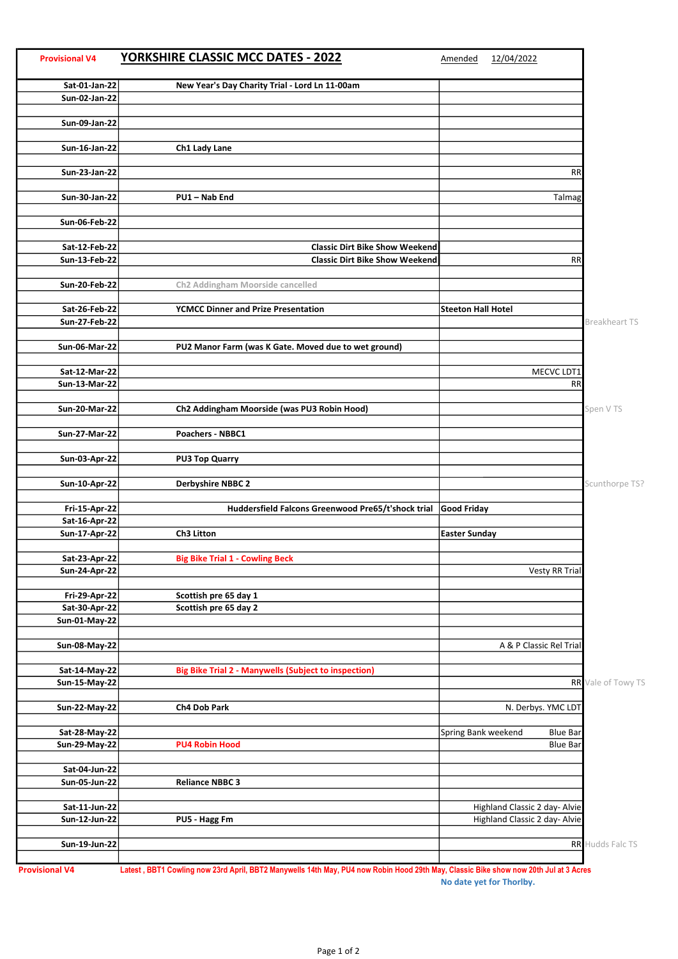| <b>Provisional V4</b> | <b>YORKSHIRE CLASSIC MCC DATES - 2022</b>                      | 12/04/2022<br>Amended                  |                      |
|-----------------------|----------------------------------------------------------------|----------------------------------------|----------------------|
| Sat-01-Jan-22         | New Year's Day Charity Trial - Lord Ln 11-00am                 |                                        |                      |
| <b>Sun-02-Jan-22</b>  |                                                                |                                        |                      |
|                       |                                                                |                                        |                      |
| Sun-09-Jan-22         |                                                                |                                        |                      |
|                       |                                                                |                                        |                      |
| Sun-16-Jan-22         | Ch1 Lady Lane                                                  |                                        |                      |
| Sun-23-Jan-22         |                                                                | <b>RR</b>                              |                      |
|                       |                                                                |                                        |                      |
| Sun-30-Jan-22         | PU1-Nab End                                                    | Talmag                                 |                      |
|                       |                                                                |                                        |                      |
| <b>Sun-06-Feb-22</b>  |                                                                |                                        |                      |
|                       |                                                                |                                        |                      |
| Sat-12-Feb-22         | <b>Classic Dirt Bike Show Weekend</b>                          |                                        |                      |
| Sun-13-Feb-22         | <b>Classic Dirt Bike Show Weekend</b>                          | <b>RR</b>                              |                      |
|                       |                                                                |                                        |                      |
| <b>Sun-20-Feb-22</b>  | Ch2 Addingham Moorside cancelled                               |                                        |                      |
| Sat-26-Feb-22         | <b>YCMCC Dinner and Prize Presentation</b>                     | <b>Steeton Hall Hotel</b>              |                      |
| <b>Sun-27-Feb-22</b>  |                                                                |                                        | <b>Breakheart TS</b> |
|                       |                                                                |                                        |                      |
| <b>Sun-06-Mar-22</b>  | PU2 Manor Farm (was K Gate. Moved due to wet ground)           |                                        |                      |
|                       |                                                                |                                        |                      |
| Sat-12-Mar-22         |                                                                | MECVC LDT1                             |                      |
| <b>Sun-13-Mar-22</b>  |                                                                | <b>RR</b>                              |                      |
|                       |                                                                |                                        |                      |
| <b>Sun-20-Mar-22</b>  | Ch2 Addingham Moorside (was PU3 Robin Hood)                    |                                        | Spen V TS            |
| <b>Sun-27-Mar-22</b>  | Poachers - NBBC1                                               |                                        |                      |
|                       |                                                                |                                        |                      |
| <b>Sun-03-Apr-22</b>  | <b>PU3 Top Quarry</b>                                          |                                        |                      |
|                       |                                                                |                                        |                      |
| <b>Sun-10-Apr-22</b>  | <b>Derbyshire NBBC 2</b>                                       |                                        | Scunthorpe TS?       |
|                       |                                                                |                                        |                      |
| <b>Fri-15-Apr-22</b>  | Huddersfield Falcons Greenwood Pre65/t'shock trial Good Friday |                                        |                      |
| Sat-16-Apr-22         |                                                                |                                        |                      |
| <b>Sun-17-Apr-22</b>  | Ch3 Litton                                                     | <b>Easter Sunday</b>                   |                      |
| Sat-23-Apr-22         | <b>Big Bike Trial 1 - Cowling Beck</b>                         |                                        |                      |
| <b>Sun-24-Apr-22</b>  |                                                                | Vesty RR Trial                         |                      |
|                       |                                                                |                                        |                      |
| <b>Fri-29-Apr-22</b>  | Scottish pre 65 day 1                                          |                                        |                      |
| Sat-30-Apr-22         | Scottish pre 65 day 2                                          |                                        |                      |
| Sun-01-May-22         |                                                                |                                        |                      |
|                       |                                                                |                                        |                      |
| <b>Sun-08-May-22</b>  |                                                                | A & P Classic Rel Trial                |                      |
|                       |                                                                |                                        |                      |
| Sat-14-May-22         | <b>Big Bike Trial 2 - Manywells (Subject to inspection)</b>    |                                        |                      |
| <b>Sun-15-May-22</b>  |                                                                |                                        | RR Vale of Towy TS   |
| Sun-22-May-22         | Ch4 Dob Park                                                   | N. Derbys. YMC LDT                     |                      |
|                       |                                                                |                                        |                      |
| Sat-28-May-22         |                                                                | Spring Bank weekend<br><b>Blue Bar</b> |                      |
| <b>Sun-29-May-22</b>  | <b>PU4 Robin Hood</b>                                          | <b>Blue Bar</b>                        |                      |
|                       |                                                                |                                        |                      |
| Sat-04-Jun-22         |                                                                |                                        |                      |
| Sun-05-Jun-22         | <b>Reliance NBBC 3</b>                                         |                                        |                      |
|                       |                                                                |                                        |                      |
| Sat-11-Jun-22         |                                                                | Highland Classic 2 day- Alvie          |                      |
| Sun-12-Jun-22         | PU5 - Hagg Fm                                                  | Highland Classic 2 day- Alvie          |                      |
|                       |                                                                |                                        |                      |
| Sun-19-Jun-22         |                                                                |                                        | RR Hudds Falc TS     |
|                       |                                                                |                                        |                      |

Provisional V4 Latest , BBT1 Cowling now 23rd April, BBT2 Manywells 14th May, PU4 now Robin Hood 29th May, Classic Bike show now 20th Jul at 3 Acres No date yet for Thorlby.